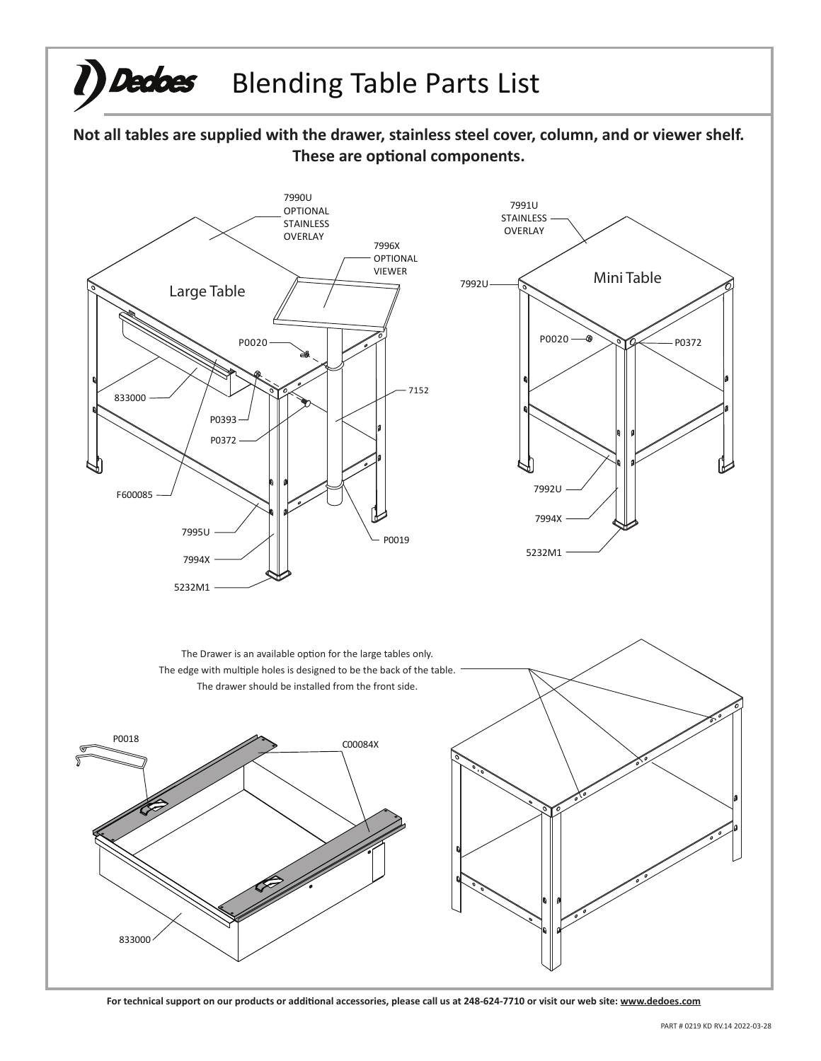

For technical support on our products or additional accessories, please call us at 248-624-7710 or visit our web site: www.dedoes.com